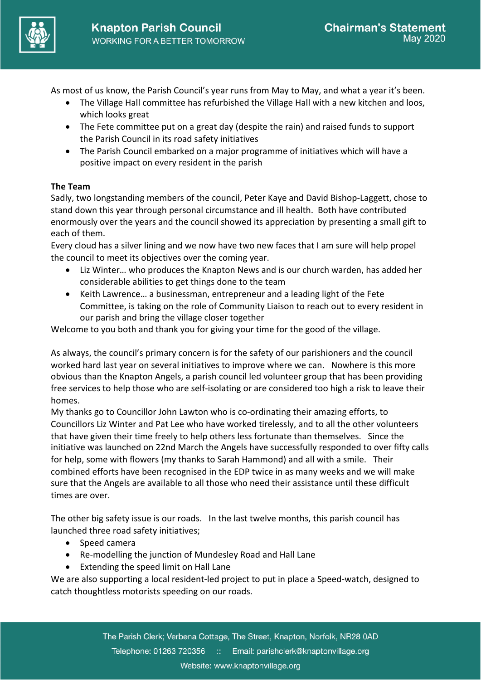

As most of us know, the Parish Council's year runs from May to May, and what a year it's been.

- The Village Hall committee has refurbished the Village Hall with a new kitchen and loos, which looks great
- The Fete committee put on a great day (despite the rain) and raised funds to support the Parish Council in its road safety initiatives
- The Parish Council embarked on a major programme of initiatives which will have a positive impact on every resident in the parish

# **The Team**

Sadly, two longstanding members of the council, Peter Kaye and David Bishop-Laggett, chose to stand down this year through personal circumstance and ill health. Both have contributed enormously over the years and the council showed its appreciation by presenting a small gift to each of them.

Every cloud has a silver lining and we now have two new faces that I am sure will help propel the council to meet its objectives over the coming year.

- Liz Winter… who produces the Knapton News and is our church warden, has added her considerable abilities to get things done to the team
- Keith Lawrence… a businessman, entrepreneur and a leading light of the Fete Committee, is taking on the role of Community Liaison to reach out to every resident in our parish and bring the village closer together

Welcome to you both and thank you for giving your time for the good of the village.

As always, the council's primary concern is for the safety of our parishioners and the council worked hard last year on several initiatives to improve where we can. Nowhere is this more obvious than the Knapton Angels, a parish council led volunteer group that has been providing free services to help those who are self-isolating or are considered too high a risk to leave their homes.

My thanks go to Councillor John Lawton who is co-ordinating their amazing efforts, to Councillors Liz Winter and Pat Lee who have worked tirelessly, and to all the other volunteers that have given their time freely to help others less fortunate than themselves. Since the initiative was launched on 22nd March the Angels have successfully responded to over fifty calls for help, some with flowers (my thanks to Sarah Hammond) and all with a smile. Their combined efforts have been recognised in the EDP twice in as many weeks and we will make sure that the Angels are available to all those who need their assistance until these difficult times are over.

The other big safety issue is our roads. In the last twelve months, this parish council has launched three road safety initiatives;

- Speed camera
- Re-modelling the junction of Mundesley Road and Hall Lane
- Extending the speed limit on Hall Lane

We are also supporting a local resident-led project to put in place a Speed-watch, designed to catch thoughtless motorists speeding on our roads.

> The Parish Clerk; Verbena Cottage, The Street, Knapton, Norfolk, NR28 0AD Telephone: 01263 720356 :: Email: parishclerk@knaptonvillage.org Website: www.knaptonvillage.org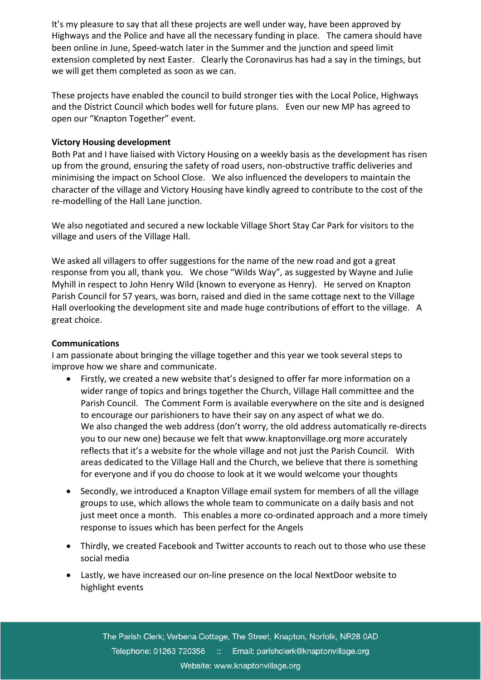It's my pleasure to say that all these projects are well under way, have been approved by Highways and the Police and have all the necessary funding in place. The camera should have been online in June, Speed-watch later in the Summer and the junction and speed limit extension completed by next Easter. Clearly the Coronavirus has had a say in the timings, but we will get them completed as soon as we can.

These projects have enabled the council to build stronger ties with the Local Police, Highways and the District Council which bodes well for future plans. Even our new MP has agreed to open our "Knapton Together" event.

### **Victory Housing development**

Both Pat and I have liaised with Victory Housing on a weekly basis as the development has risen up from the ground, ensuring the safety of road users, non-obstructive traffic deliveries and minimising the impact on School Close. We also influenced the developers to maintain the character of the village and Victory Housing have kindly agreed to contribute to the cost of the re-modelling of the Hall Lane junction.

We also negotiated and secured a new lockable Village Short Stay Car Park for visitors to the village and users of the Village Hall.

We asked all villagers to offer suggestions for the name of the new road and got a great response from you all, thank you. We chose "Wilds Way", as suggested by Wayne and Julie Myhill in respect to John Henry Wild (known to everyone as Henry). He served on Knapton Parish Council for 57 years, was born, raised and died in the same cottage next to the Village Hall overlooking the development site and made huge contributions of effort to the village. A great choice.

### **Communications**

I am passionate about bringing the village together and this year we took several steps to improve how we share and communicate.

- Firstly, we created a new website that's designed to offer far more information on a wider range of topics and brings together the Church, Village Hall committee and the Parish Council. The Comment Form is available everywhere on the site and is designed to encourage our parishioners to have their say on any aspect of what we do. We also changed the web address (don't worry, the old address automatically re-directs you to our new one) because we felt that www.knaptonvillage.org more accurately reflects that it's a website for the whole village and not just the Parish Council. With areas dedicated to the Village Hall and the Church, we believe that there is something for everyone and if you do choose to look at it we would welcome your thoughts
- Secondly, we introduced a Knapton Village email system for members of all the village groups to use, which allows the whole team to communicate on a daily basis and not just meet once a month. This enables a more co-ordinated approach and a more timely response to issues which has been perfect for the Angels
- Thirdly, we created Facebook and Twitter accounts to reach out to those who use these social media
- Lastly, we have increased our on-line presence on the local NextDoor website to highlight events

The Parish Clerk; Verbena Cottage, The Street, Knapton, Norfolk, NR28 0AD Telephone: 01263 720356 :: Email: parishclerk@knaptonvillage.org Website: www.knaptonvillage.org